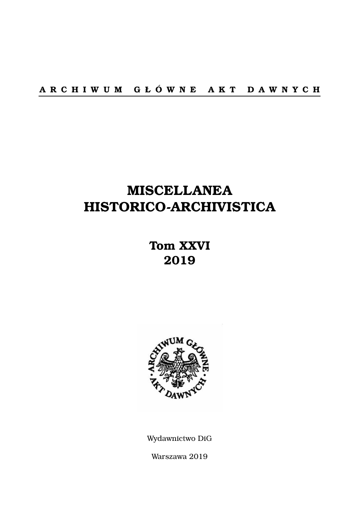# **MISCELLANEA HISTORICO-ARCHIVISTICA**

## **Tom XXVI 2019**



Wydawnictwo DiG

Warszawa 2019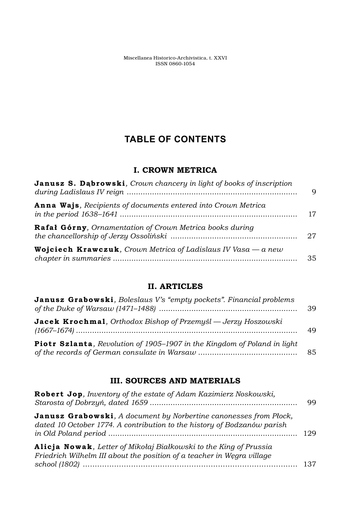Miscellanea Historico-Archivistica, t. XXVI ISSN 0860-1054

### **TABLE OF CONTENTS**

#### **I. CROWN METRICA**

| Janusz S. Dabrowski, Crown chancery in light of books of inscription<br><b>Anna Wajs</b> , Recipients of documents entered into Crown Metrica | q        |
|-----------------------------------------------------------------------------------------------------------------------------------------------|----------|
|                                                                                                                                               | 17       |
| Rafał Górny, Ornamentation of Crown Metrica books during                                                                                      | 27<br>35 |
| <b>Wojciech Krawczuk</b> , Crown Metrica of Ladislaus IV Vasa $-a$ new                                                                        |          |

#### **II. ARTICLES**

| <b>Janusz Grabowski</b> , Boleslaus V's "empty pockets". Financial problems      | 39 |
|----------------------------------------------------------------------------------|----|
| <b>Jacek Krochmal</b> , Orthodox Bishop of Przemyśl — Jerzy Hoszowski            | 49 |
| <b>Piotr Szlanta</b> , Revolution of 1905–1907 in the Kingdom of Poland in light | 85 |

#### **III. SOURCES AND MATERIALS**

| Robert Jop, Inventory of the estate of Adam Kazimierz Noskowski,                                                                                     | 99 |
|------------------------------------------------------------------------------------------------------------------------------------------------------|----|
| <b>Janusz Grabowski</b> , A document by Norbertine canonesses from Plock,<br>dated 10 October 1774. A contribution to the history of Bodzanów parish |    |
| Alicja Nowak, Letter of Mikołaj Białkowski to the King of Prussia<br>Friedrich Wilhelm III about the position of a teacher in Wegra village          |    |